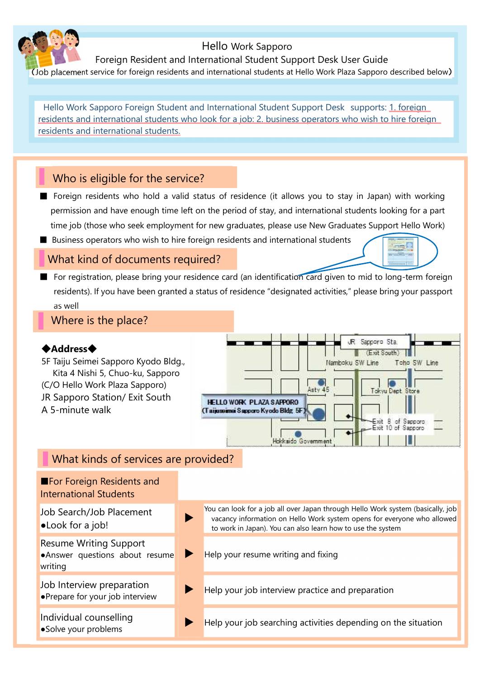# Hello Work Sapporo

Foreign Resident and International Student Support Desk User Guide

(Job placement service for foreign residents and international students at Hello Work Plaza Sapporo described below)

Hello Work Sapporo Foreign Student and International Student Support Desk supports: 1. foreign residents and international students who look for a job: 2. business operators who wish to hire foreign residents and international students.

# Who is eligible for the service?

- Foreign residents who hold a valid status of residence (it allows you to stay in Japan) with working permission and have enough time left on the period of stay, and international students looking for a part time job (those who seek employment for new graduates, please use New Graduates Support Hello Work)
- Business operators who wish to hire foreign residents and international students

## What kind of documents required?

■ For registration, please bring your residence card (an identification card given to mid to long-term foreign residents). If you have been granted a status of residence "designated activities," please bring your passport as well

Where is the place?

#### ◆**Address**◆

5F Taiju Seimei Sapporo Kyodo Bldg., Kita 4 Nishi 5, Chuo-ku, Sapporo (C/O Hello Work Plaza Sapporo) JR Sapporo Station/ Exit South A 5-minute walk



# What kinds of services are provided?

| <b>E</b> For Foreign Residents and<br><b>International Students</b>        |                                                                                                                                                                                                                           |
|----------------------------------------------------------------------------|---------------------------------------------------------------------------------------------------------------------------------------------------------------------------------------------------------------------------|
| Job Search/Job Placement<br>•Look for a job!                               | You can look for a job all over Japan through Hello Work system (basically, job<br>vacancy information on Hello Work system opens for everyone who allowed<br>to work in Japan). You can also learn how to use the system |
| <b>Resume Writing Support</b><br>.Answer questions about resume<br>writing | Help your resume writing and fixing                                                                                                                                                                                       |
| Job Interview preparation<br>• Prepare for your job interview              | Help your job interview practice and preparation                                                                                                                                                                          |
| Individual counselling<br>·Solve your problems                             | Help your job searching activities depending on the situation                                                                                                                                                             |